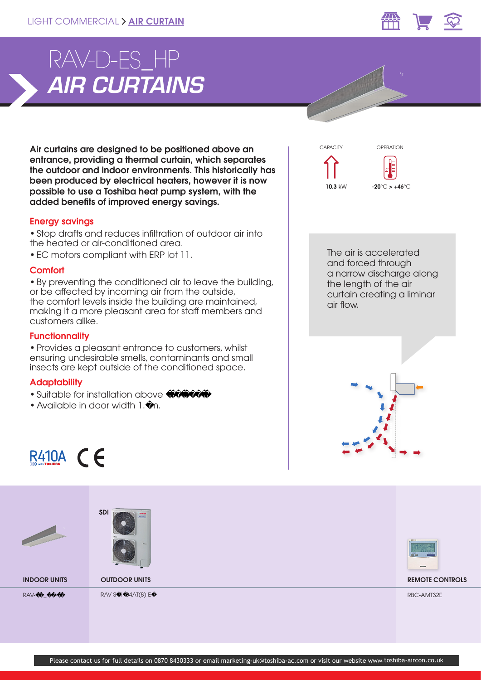

# *AIR CURTAINS* RAV-D-ES\_HP

Air curtains are designed to be positioned above an entrance, providing a thermal curtain, which separates the outdoor and indoor environments. This historically has been produced by electrical heaters, however it is now possible to use a Toshiba heat pump system, with the added benefits of improved energy savings.

## Energy savings

• Stop drafts and reduces infiltration of outdoor air into the heated or air-conditioned area.

• EC motors compliant with ERP lot 11.

#### **Comfort**

• By preventing the conditioned air to leave the building, or be affected by incoming air from the outside, the comfort levels inside the building are maintained, making it a more pleasant area for staff members and customers alike.

# **Functionnality**

• Provides a pleasant entrance to customers, whilst ensuring undesirable smells, contaminants and small insects are kept outside of the conditioned space.

## **Adaptability**

- $\bullet$  Suitable for installation above
- Available in door width 1. m.



**0 °**

OPERATION

**CAPACITY** 



R410A  $\subset$   $\subset$